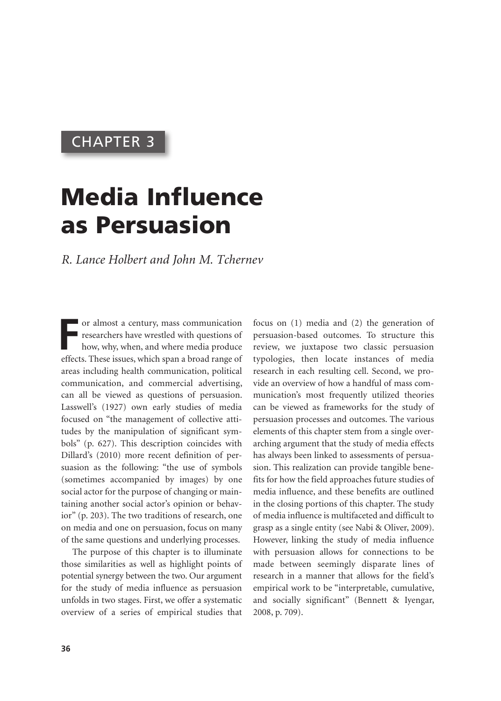## CHAPTER 3

# Media Influence as Persuasion

*R. Lance Holbert and John M. Tchernev*

Franchieve is a century, mass communication researchers have wrestled with questions of how, why, when, and where media produce effects. These issues, which span a broad range of or almost a century, mass communication researchers have wrestled with questions of how, why, when, and where media produce areas including health communication, political communication, and commercial advertising, can all be viewed as questions of persuasion. Lasswell's (1927) own early studies of media focused on "the management of collective attitudes by the manipulation of significant symbols" (p. 627). This description coincides with Dillard's (2010) more recent definition of persuasion as the following: "the use of symbols (sometimes accompanied by images) by one social actor for the purpose of changing or maintaining another social actor's opinion or behavior" (p. 203). The two traditions of research, one on media and one on persuasion, focus on many of the same questions and underlying processes.

The purpose of this chapter is to illuminate those similarities as well as highlight points of potential synergy between the two. Our argument for the study of media influence as persuasion unfolds in two stages. First, we offer a systematic overview of a series of empirical studies that focus on (1) media and (2) the generation of persuasion-based outcomes. To structure this review, we juxtapose two classic persuasion typologies, then locate instances of media research in each resulting cell. Second, we provide an overview of how a handful of mass communication's most frequently utilized theories can be viewed as frameworks for the study of persuasion processes and outcomes. The various elements of this chapter stem from a single overarching argument that the study of media effects has always been linked to assessments of persuasion. This realization can provide tangible benefits for how the field approaches future studies of media influence, and these benefits are outlined in the closing portions of this chapter. The study of media influence is multifaceted and difficult to grasp as a single entity (see Nabi & Oliver, 2009). However, linking the study of media influence with persuasion allows for connections to be made between seemingly disparate lines of research in a manner that allows for the field's empirical work to be "interpretable, cumulative, and socially significant" (Bennett & Iyengar, 2008, p. 709).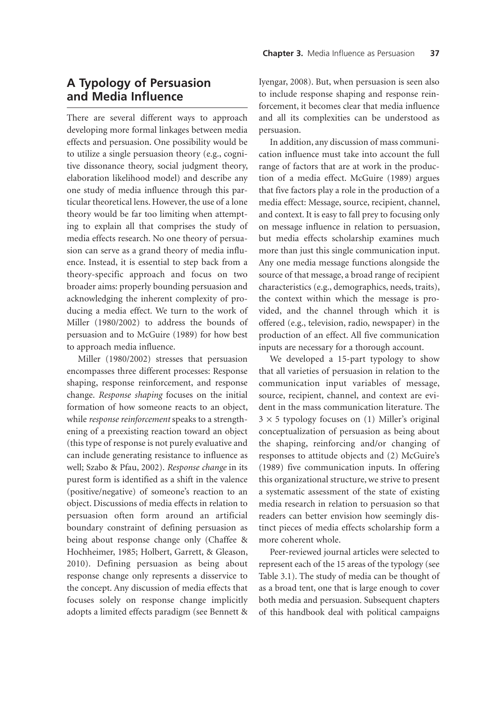## **A Typology of Persuasion and Media Influence**

There are several different ways to approach developing more formal linkages between media effects and persuasion. One possibility would be to utilize a single persuasion theory (e.g., cognitive dissonance theory, social judgment theory, elaboration likelihood model) and describe any one study of media influence through this particular theoretical lens. However, the use of a lone theory would be far too limiting when attempting to explain all that comprises the study of media effects research. No one theory of persuasion can serve as a grand theory of media influence. Instead, it is essential to step back from a theory-specific approach and focus on two broader aims: properly bounding persuasion and acknowledging the inherent complexity of producing a media effect. We turn to the work of Miller (1980/2002) to address the bounds of persuasion and to McGuire (1989) for how best to approach media influence.

Miller (1980/2002) stresses that persuasion encompasses three different processes: Response shaping, response reinforcement, and response change. *Response shaping* focuses on the initial formation of how someone reacts to an object, while *response reinforcement* speaks to a strengthening of a preexisting reaction toward an object (this type of response is not purely evaluative and can include generating resistance to influence as well; Szabo & Pfau, 2002). *Response change* in its purest form is identified as a shift in the valence (positive/negative) of someone's reaction to an object. Discussions of media effects in relation to persuasion often form around an artificial boundary constraint of defining persuasion as being about response change only (Chaffee & Hochheimer, 1985; Holbert, Garrett, & Gleason, 2010). Defining persuasion as being about response change only represents a disservice to the concept. Any discussion of media effects that focuses solely on response change implicitly adopts a limited effects paradigm (see Bennett & Iyengar, 2008). But, when persuasion is seen also to include response shaping and response reinforcement, it becomes clear that media influence and all its complexities can be understood as persuasion.

In addition, any discussion of mass communication influence must take into account the full range of factors that are at work in the production of a media effect. McGuire (1989) argues that five factors play a role in the production of a media effect: Message, source, recipient, channel, and context. It is easy to fall prey to focusing only on message influence in relation to persuasion, but media effects scholarship examines much more than just this single communication input. Any one media message functions alongside the source of that message, a broad range of recipient characteristics (e.g., demographics, needs, traits), the context within which the message is provided, and the channel through which it is offered (e.g., television, radio, newspaper) in the production of an effect. All five communication inputs are necessary for a thorough account.

We developed a 15-part typology to show that all varieties of persuasion in relation to the communication input variables of message, source, recipient, channel, and context are evident in the mass communication literature. The  $3 \times 5$  typology focuses on (1) Miller's original conceptualization of persuasion as being about the shaping, reinforcing and/or changing of responses to attitude objects and (2) McGuire's (1989) five communication inputs. In offering this organizational structure, we strive to present a systematic assessment of the state of existing media research in relation to persuasion so that readers can better envision how seemingly distinct pieces of media effects scholarship form a more coherent whole.

Peer-reviewed journal articles were selected to represent each of the 15 areas of the typology (see Table 3.1). The study of media can be thought of as a broad tent, one that is large enough to cover both media and persuasion. Subsequent chapters of this handbook deal with political campaigns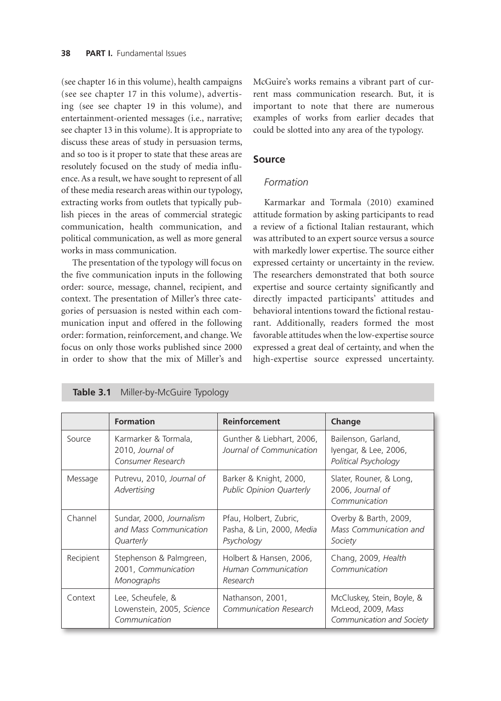(see chapter 16 in this volume), health campaigns (see see chapter 17 in this volume), advertising (see see chapter 19 in this volume), and entertainment-oriented messages (i.e., narrative; see chapter 13 in this volume). It is appropriate to discuss these areas of study in persuasion terms, and so too is it proper to state that these areas are resolutely focused on the study of media influence. As a result, we have sought to represent of all of these media research areas within our typology, extracting works from outlets that typically publish pieces in the areas of commercial strategic communication, health communication, and political communication, as well as more general works in mass communication.

The presentation of the typology will focus on the five communication inputs in the following order: source, message, channel, recipient, and context. The presentation of Miller's three categories of persuasion is nested within each communication input and offered in the following order: formation, reinforcement, and change. We focus on only those works published since 2000 in order to show that the mix of Miller's and McGuire's works remains a vibrant part of current mass communication research. But, it is important to note that there are numerous examples of works from earlier decades that could be slotted into any area of the typology.

#### **Source**

#### *Formation*

Karmarkar and Tormala (2010) examined attitude formation by asking participants to read a review of a fictional Italian restaurant, which was attributed to an expert source versus a source with markedly lower expertise. The source either expressed certainty or uncertainty in the review. The researchers demonstrated that both source expertise and source certainty significantly and directly impacted participants' attitudes and behavioral intentions toward the fictional restaurant. Additionally, readers formed the most favorable attitudes when the low-expertise source expressed a great deal of certainty, and when the high-expertise source expressed uncertainty.

|           | <b>Formation</b>                                                | <b>Reinforcement</b>                                              | Change                                                                        |
|-----------|-----------------------------------------------------------------|-------------------------------------------------------------------|-------------------------------------------------------------------------------|
| Source    | Karmarker & Tormala,<br>2010, Journal of<br>Consumer Research   | Gunther & Liebhart, 2006,<br>Journal of Communication             | Bailenson, Garland,<br>Iyengar, & Lee, 2006,<br>Political Psychology          |
| Message   | Putrevu, 2010, Journal of<br>Advertising                        | Barker & Knight, 2000,<br>Public Opinion Quarterly                | Slater, Rouner, & Long,<br>2006, Journal of<br>Communication                  |
| Channel   | Sundar, 2000, Journalism<br>and Mass Communication<br>Quarterly | Pfau, Holbert, Zubric,<br>Pasha, & Lin, 2000, Media<br>Psychology | Overby & Barth, 2009,<br>Mass Communication and<br>Society                    |
| Recipient | Stephenson & Palmgreen,<br>2001, Communication<br>Monographs    | Holbert & Hansen, 2006,<br>Human Communication<br>Research        | Chang, 2009, Health<br>Communication                                          |
| Context   | Lee, Scheufele, &<br>Lowenstein, 2005, Science<br>Communication | Nathanson, 2001,<br>Communication Research                        | McCluskey, Stein, Boyle, &<br>McLeod, 2009, Mass<br>Communication and Society |

#### **Table 3.1** Miller-by-McGuire Typology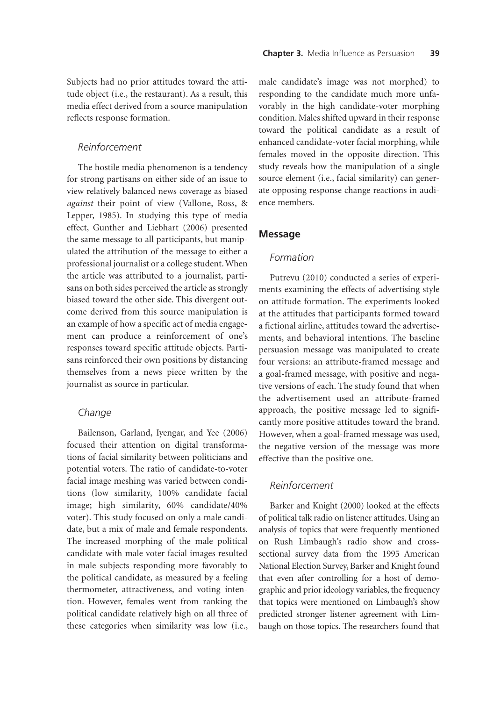#### *Reinforcement*

The hostile media phenomenon is a tendency for strong partisans on either side of an issue to view relatively balanced news coverage as biased *against* their point of view (Vallone, Ross, & Lepper, 1985). In studying this type of media effect, Gunther and Liebhart (2006) presented the same message to all participants, but manipulated the attribution of the message to either a professional journalist or a college student. When the article was attributed to a journalist, partisans on both sides perceived the article as strongly biased toward the other side. This divergent outcome derived from this source manipulation is an example of how a specific act of media engagement can produce a reinforcement of one's responses toward specific attitude objects. Partisans reinforced their own positions by distancing themselves from a news piece written by the journalist as source in particular.

#### *Change*

Bailenson, Garland, Iyengar, and Yee (2006) focused their attention on digital transformations of facial similarity between politicians and potential voters. The ratio of candidate-to-voter facial image meshing was varied between conditions (low similarity, 100% candidate facial image; high similarity, 60% candidate/40% voter). This study focused on only a male candidate, but a mix of male and female respondents. The increased morphing of the male political candidate with male voter facial images resulted in male subjects responding more favorably to the political candidate, as measured by a feeling thermometer, attractiveness, and voting intention. However, females went from ranking the political candidate relatively high on all three of these categories when similarity was low (i.e., male candidate's image was not morphed) to responding to the candidate much more unfavorably in the high candidate-voter morphing condition. Males shifted upward in their response toward the political candidate as a result of enhanced candidate-voter facial morphing, while females moved in the opposite direction. This study reveals how the manipulation of a single source element (i.e., facial similarity) can generate opposing response change reactions in audience members.

#### **Message**

#### *Formation*

Putrevu (2010) conducted a series of experiments examining the effects of advertising style on attitude formation. The experiments looked at the attitudes that participants formed toward a fictional airline, attitudes toward the advertisements, and behavioral intentions. The baseline persuasion message was manipulated to create four versions: an attribute-framed message and a goal-framed message, with positive and negative versions of each. The study found that when the advertisement used an attribute-framed approach, the positive message led to significantly more positive attitudes toward the brand. However, when a goal-framed message was used, the negative version of the message was more effective than the positive one.

#### *Reinforcement*

Barker and Knight (2000) looked at the effects of political talk radio on listener attitudes. Using an analysis of topics that were frequently mentioned on Rush Limbaugh's radio show and crosssectional survey data from the 1995 American National Election Survey, Barker and Knight found that even after controlling for a host of demographic and prior ideology variables, the frequency that topics were mentioned on Limbaugh's show predicted stronger listener agreement with Limbaugh on those topics. The researchers found that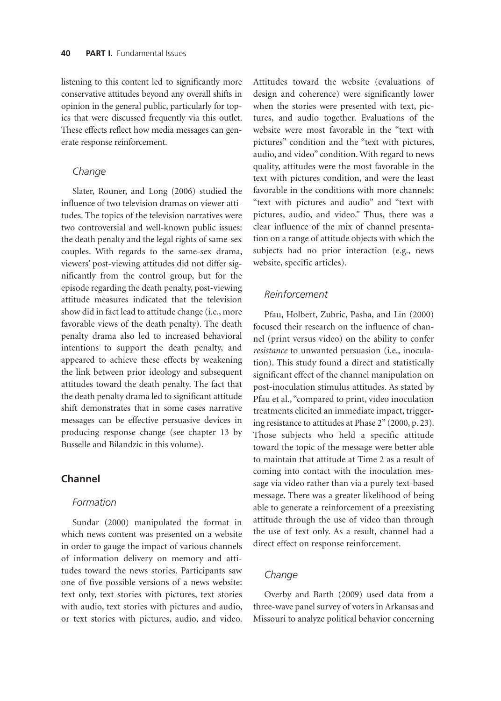listening to this content led to significantly more conservative attitudes beyond any overall shifts in opinion in the general public, particularly for topics that were discussed frequently via this outlet. These effects reflect how media messages can generate response reinforcement.

#### *Change*

Slater, Rouner, and Long (2006) studied the influence of two television dramas on viewer attitudes. The topics of the television narratives were two controversial and well-known public issues: the death penalty and the legal rights of same-sex couples. With regards to the same-sex drama, viewers' post-viewing attitudes did not differ significantly from the control group, but for the episode regarding the death penalty, post-viewing attitude measures indicated that the television show did in fact lead to attitude change (i.e., more favorable views of the death penalty). The death penalty drama also led to increased behavioral intentions to support the death penalty, and appeared to achieve these effects by weakening the link between prior ideology and subsequent attitudes toward the death penalty. The fact that the death penalty drama led to significant attitude shift demonstrates that in some cases narrative messages can be effective persuasive devices in producing response change (see chapter 13 by Busselle and Bilandzic in this volume).

#### **Channel**

#### *Formation*

Sundar (2000) manipulated the format in which news content was presented on a website in order to gauge the impact of various channels of information delivery on memory and attitudes toward the news stories. Participants saw one of five possible versions of a news website: text only, text stories with pictures, text stories with audio, text stories with pictures and audio, or text stories with pictures, audio, and video.

Attitudes toward the website (evaluations of design and coherence) were significantly lower when the stories were presented with text, pictures, and audio together. Evaluations of the website were most favorable in the "text with pictures" condition and the "text with pictures, audio, and video" condition. With regard to news quality, attitudes were the most favorable in the text with pictures condition, and were the least favorable in the conditions with more channels: "text with pictures and audio" and "text with pictures, audio, and video." Thus, there was a clear influence of the mix of channel presentation on a range of attitude objects with which the subjects had no prior interaction (e.g., news website, specific articles).

#### *Reinforcement*

Pfau, Holbert, Zubric, Pasha, and Lin (2000) focused their research on the influence of channel (print versus video) on the ability to confer *resistance* to unwanted persuasion (i.e., inoculation). This study found a direct and statistically significant effect of the channel manipulation on post-inoculation stimulus attitudes. As stated by Pfau et al., "compared to print, video inoculation treatments elicited an immediate impact, triggering resistance to attitudes at Phase 2" (2000, p. 23). Those subjects who held a specific attitude toward the topic of the message were better able to maintain that attitude at Time 2 as a result of coming into contact with the inoculation message via video rather than via a purely text-based message. There was a greater likelihood of being able to generate a reinforcement of a preexisting attitude through the use of video than through the use of text only. As a result, channel had a direct effect on response reinforcement.

#### *Change*

Overby and Barth (2009) used data from a three-wave panel survey of voters in Arkansas and Missouri to analyze political behavior concerning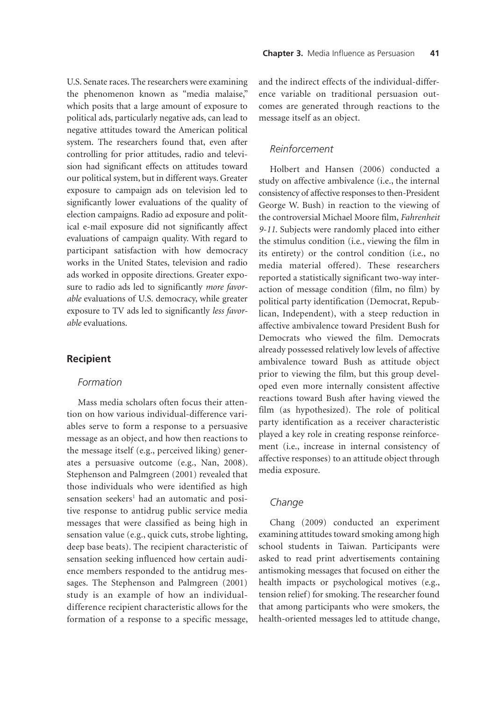U.S. Senate races. The researchers were examining the phenomenon known as "media malaise," which posits that a large amount of exposure to political ads, particularly negative ads, can lead to negative attitudes toward the American political system. The researchers found that, even after controlling for prior attitudes, radio and television had significant effects on attitudes toward our political system, but in different ways. Greater exposure to campaign ads on television led to significantly lower evaluations of the quality of election campaigns. Radio ad exposure and political e-mail exposure did not significantly affect evaluations of campaign quality. With regard to participant satisfaction with how democracy works in the United States, television and radio ads worked in opposite directions. Greater exposure to radio ads led to significantly *more favorable* evaluations of U.S. democracy, while greater exposure to TV ads led to significantly *less favorable* evaluations.

#### **Recipient**

#### *Formation*

Mass media scholars often focus their attention on how various individual-difference variables serve to form a response to a persuasive message as an object, and how then reactions to the message itself (e.g., perceived liking) generates a persuasive outcome (e.g., Nan, 2008). Stephenson and Palmgreen (2001) revealed that those individuals who were identified as high sensation seekers<sup>1</sup> had an automatic and positive response to antidrug public service media messages that were classified as being high in sensation value (e.g., quick cuts, strobe lighting, deep base beats). The recipient characteristic of sensation seeking influenced how certain audience members responded to the antidrug messages. The Stephenson and Palmgreen (2001) study is an example of how an individualdifference recipient characteristic allows for the formation of a response to a specific message,

and the indirect effects of the individual-difference variable on traditional persuasion outcomes are generated through reactions to the message itself as an object.

#### *Reinforcement*

Holbert and Hansen (2006) conducted a study on affective ambivalence (i.e., the internal consistency of affective responses to then-President George W. Bush) in reaction to the viewing of the controversial Michael Moore film, *Fahrenheit 9-11*. Subjects were randomly placed into either the stimulus condition (i.e., viewing the film in its entirety) or the control condition (i.e., no media material offered). These researchers reported a statistically significant two-way interaction of message condition (film, no film) by political party identification (Democrat, Republican, Independent), with a steep reduction in affective ambivalence toward President Bush for Democrats who viewed the film. Democrats already possessed relatively low levels of affective ambivalence toward Bush as attitude object prior to viewing the film, but this group developed even more internally consistent affective reactions toward Bush after having viewed the film (as hypothesized). The role of political party identification as a receiver characteristic played a key role in creating response reinforcement (i.e., increase in internal consistency of affective responses) to an attitude object through media exposure.

#### *Change*

Chang (2009) conducted an experiment examining attitudes toward smoking among high school students in Taiwan. Participants were asked to read print advertisements containing antismoking messages that focused on either the health impacts or psychological motives (e.g., tension relief) for smoking. The researcher found that among participants who were smokers, the health-oriented messages led to attitude change,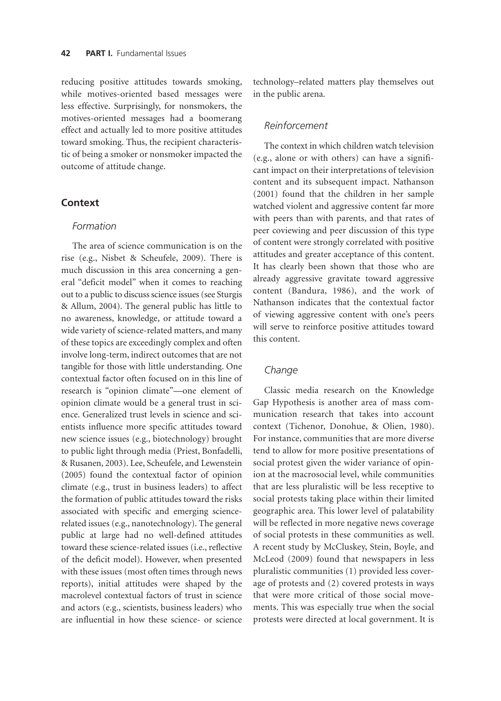reducing positive attitudes towards smoking, while motives-oriented based messages were less effective. Surprisingly, for nonsmokers, the motives-oriented messages had a boomerang effect and actually led to more positive attitudes toward smoking. Thus, the recipient characteristic of being a smoker or nonsmoker impacted the outcome of attitude change.

#### **Context**

#### *Formation*

The area of science communication is on the rise (e.g., Nisbet & Scheufele, 2009). There is much discussion in this area concerning a general "deficit model" when it comes to reaching out to a public to discuss science issues (see Sturgis & Allum, 2004). The general public has little to no awareness, knowledge, or attitude toward a wide variety of science-related matters, and many of these topics are exceedingly complex and often involve long-term, indirect outcomes that are not tangible for those with little understanding. One contextual factor often focused on in this line of research is "opinion climate"—one element of opinion climate would be a general trust in science. Generalized trust levels in science and scientists influence more specific attitudes toward new science issues (e.g., biotechnology) brought to public light through media (Priest, Bonfadelli, & Rusanen, 2003). Lee, Scheufele, and Lewenstein (2005) found the contextual factor of opinion climate (e.g., trust in business leaders) to affect the formation of public attitudes toward the risks associated with specific and emerging sciencerelated issues (e.g., nanotechnology). The general public at large had no well-defined attitudes toward these science-related issues (i.e., reflective of the deficit model). However, when presented with these issues (most often times through news reports), initial attitudes were shaped by the macrolevel contextual factors of trust in science and actors (e.g., scientists, business leaders) who are influential in how these science- or science

technology–related matters play themselves out in the public arena.

#### *Reinforcement*

The context in which children watch television (e.g., alone or with others) can have a significant impact on their interpretations of television content and its subsequent impact. Nathanson (2001) found that the children in her sample watched violent and aggressive content far more with peers than with parents, and that rates of peer coviewing and peer discussion of this type of content were strongly correlated with positive attitudes and greater acceptance of this content. It has clearly been shown that those who are already aggressive gravitate toward aggressive content (Bandura, 1986), and the work of Nathanson indicates that the contextual factor of viewing aggressive content with one's peers will serve to reinforce positive attitudes toward this content.

#### *Change*

Classic media research on the Knowledge Gap Hypothesis is another area of mass communication research that takes into account context (Tichenor, Donohue, & Olien, 1980). For instance, communities that are more diverse tend to allow for more positive presentations of social protest given the wider variance of opinion at the macrosocial level, while communities that are less pluralistic will be less receptive to social protests taking place within their limited geographic area. This lower level of palatability will be reflected in more negative news coverage of social protests in these communities as well. A recent study by McCluskey, Stein, Boyle, and McLeod (2009) found that newspapers in less pluralistic communities (1) provided less coverage of protests and (2) covered protests in ways that were more critical of those social movements. This was especially true when the social protests were directed at local government. It is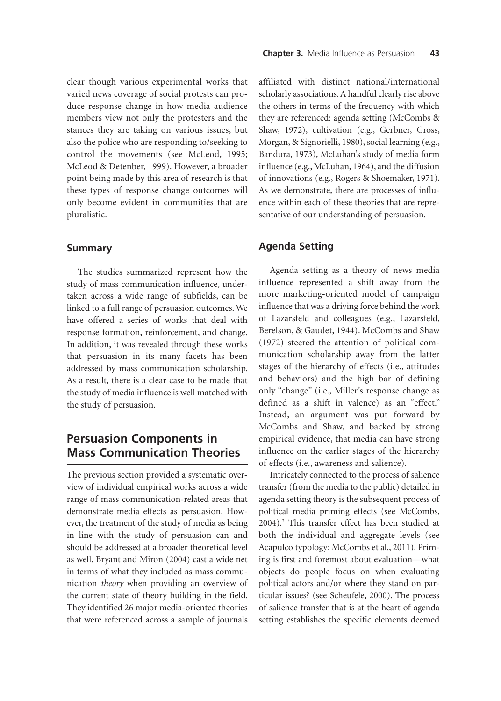clear though various experimental works that varied news coverage of social protests can produce response change in how media audience members view not only the protesters and the stances they are taking on various issues, but also the police who are responding to/seeking to control the movements (see McLeod, 1995; McLeod & Detenber, 1999). However, a broader point being made by this area of research is that these types of response change outcomes will only become evident in communities that are pluralistic.

#### **Summary**

The studies summarized represent how the study of mass communication influence, undertaken across a wide range of subfields, can be linked to a full range of persuasion outcomes. We have offered a series of works that deal with response formation, reinforcement, and change. In addition, it was revealed through these works that persuasion in its many facets has been addressed by mass communication scholarship. As a result, there is a clear case to be made that the study of media influence is well matched with the study of persuasion.

## **Persuasion Components in Mass Communication Theories**

The previous section provided a systematic overview of individual empirical works across a wide range of mass communication-related areas that demonstrate media effects as persuasion. However, the treatment of the study of media as being in line with the study of persuasion can and should be addressed at a broader theoretical level as well. Bryant and Miron (2004) cast a wide net in terms of what they included as mass communication *theory* when providing an overview of the current state of theory building in the field. They identified 26 major media-oriented theories that were referenced across a sample of journals

affiliated with distinct national/international scholarly associations. A handful clearly rise above the others in terms of the frequency with which they are referenced: agenda setting (McCombs & Shaw, 1972), cultivation (e.g., Gerbner, Gross, Morgan, & Signorielli, 1980), social learning (e.g., Bandura, 1973), McLuhan's study of media form influence (e.g., McLuhan, 1964), and the diffusion of innovations (e.g., Rogers & Shoemaker, 1971). As we demonstrate, there are processes of influence within each of these theories that are representative of our understanding of persuasion.

#### **Agenda Setting**

Agenda setting as a theory of news media influence represented a shift away from the more marketing-oriented model of campaign influence that was a driving force behind the work of Lazarsfeld and colleagues (e.g., Lazarsfeld, Berelson, & Gaudet, 1944). McCombs and Shaw (1972) steered the attention of political communication scholarship away from the latter stages of the hierarchy of effects (i.e., attitudes and behaviors) and the high bar of defining only "change" (i.e., Miller's response change as defined as a shift in valence) as an "effect." Instead, an argument was put forward by McCombs and Shaw, and backed by strong empirical evidence, that media can have strong influence on the earlier stages of the hierarchy of effects (i.e., awareness and salience).

Intricately connected to the process of salience transfer (from the media to the public) detailed in agenda setting theory is the subsequent process of political media priming effects (see McCombs, 2004).2 This transfer effect has been studied at both the individual and aggregate levels (see Acapulco typology; McCombs et al., 2011). Priming is first and foremost about evaluation—what objects do people focus on when evaluating political actors and/or where they stand on particular issues? (see Scheufele, 2000). The process of salience transfer that is at the heart of agenda setting establishes the specific elements deemed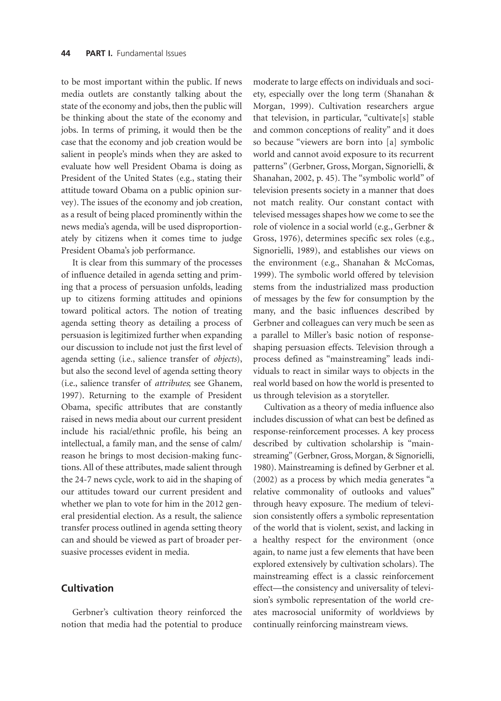to be most important within the public. If news media outlets are constantly talking about the state of the economy and jobs, then the public will be thinking about the state of the economy and jobs. In terms of priming, it would then be the case that the economy and job creation would be salient in people's minds when they are asked to evaluate how well President Obama is doing as President of the United States (e.g., stating their attitude toward Obama on a public opinion survey). The issues of the economy and job creation, as a result of being placed prominently within the news media's agenda, will be used disproportionately by citizens when it comes time to judge President Obama's job performance.

It is clear from this summary of the processes of influence detailed in agenda setting and priming that a process of persuasion unfolds, leading up to citizens forming attitudes and opinions toward political actors. The notion of treating agenda setting theory as detailing a process of persuasion is legitimized further when expanding our discussion to include not just the first level of agenda setting (i.e., salience transfer of *objects*), but also the second level of agenda setting theory (i.e., salience transfer of *attributes*; see Ghanem, 1997). Returning to the example of President Obama, specific attributes that are constantly raised in news media about our current president include his racial/ethnic profile, his being an intellectual, a family man, and the sense of calm/ reason he brings to most decision-making functions. All of these attributes, made salient through the 24-7 news cycle, work to aid in the shaping of our attitudes toward our current president and whether we plan to vote for him in the 2012 general presidential election. As a result, the salience transfer process outlined in agenda setting theory can and should be viewed as part of broader persuasive processes evident in media.

#### **Cultivation**

Gerbner's cultivation theory reinforced the notion that media had the potential to produce moderate to large effects on individuals and society, especially over the long term (Shanahan & Morgan, 1999). Cultivation researchers argue that television, in particular, "cultivate[s] stable and common conceptions of reality" and it does so because "viewers are born into [a] symbolic world and cannot avoid exposure to its recurrent patterns" (Gerbner, Gross, Morgan, Signorielli, & Shanahan, 2002, p. 45). The "symbolic world" of television presents society in a manner that does not match reality. Our constant contact with televised messages shapes how we come to see the role of violence in a social world (e.g., Gerbner & Gross, 1976), determines specific sex roles (e.g., Signorielli, 1989), and establishes our views on the environment (e.g., Shanahan & McComas, 1999). The symbolic world offered by television stems from the industrialized mass production of messages by the few for consumption by the many, and the basic influences described by Gerbner and colleagues can very much be seen as a parallel to Miller's basic notion of responseshaping persuasion effects. Television through a process defined as "mainstreaming" leads individuals to react in similar ways to objects in the real world based on how the world is presented to us through television as a storyteller.

Cultivation as a theory of media influence also includes discussion of what can best be defined as response-reinforcement processes. A key process described by cultivation scholarship is "mainstreaming" (Gerbner, Gross, Morgan, & Signorielli, 1980). Mainstreaming is defined by Gerbner et al. (2002) as a process by which media generates "a relative commonality of outlooks and values" through heavy exposure. The medium of television consistently offers a symbolic representation of the world that is violent, sexist, and lacking in a healthy respect for the environment (once again, to name just a few elements that have been explored extensively by cultivation scholars). The mainstreaming effect is a classic reinforcement effect—the consistency and universality of television's symbolic representation of the world creates macrosocial uniformity of worldviews by continually reinforcing mainstream views.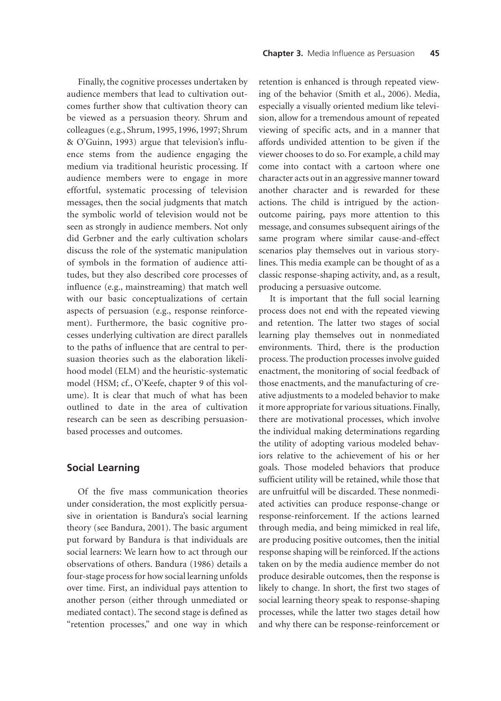Finally, the cognitive processes undertaken by audience members that lead to cultivation outcomes further show that cultivation theory can be viewed as a persuasion theory. Shrum and colleagues (e.g., Shrum, 1995, 1996, 1997; Shrum & O'Guinn, 1993) argue that television's influence stems from the audience engaging the medium via traditional heuristic processing. If audience members were to engage in more effortful, systematic processing of television messages, then the social judgments that match the symbolic world of television would not be seen as strongly in audience members. Not only did Gerbner and the early cultivation scholars discuss the role of the systematic manipulation of symbols in the formation of audience attitudes, but they also described core processes of influence (e.g., mainstreaming) that match well with our basic conceptualizations of certain aspects of persuasion (e.g., response reinforcement). Furthermore, the basic cognitive processes underlying cultivation are direct parallels to the paths of influence that are central to persuasion theories such as the elaboration likelihood model (ELM) and the heuristic-systematic model (HSM; cf., O'Keefe, chapter 9 of this volume). It is clear that much of what has been outlined to date in the area of cultivation research can be seen as describing persuasionbased processes and outcomes.

#### **Social Learning**

Of the five mass communication theories under consideration, the most explicitly persuasive in orientation is Bandura's social learning theory (see Bandura, 2001). The basic argument put forward by Bandura is that individuals are social learners: We learn how to act through our observations of others. Bandura (1986) details a four-stage process for how social learning unfolds over time. First, an individual pays attention to another person (either through unmediated or mediated contact). The second stage is defined as "retention processes," and one way in which retention is enhanced is through repeated viewing of the behavior (Smith et al., 2006). Media, especially a visually oriented medium like television, allow for a tremendous amount of repeated viewing of specific acts, and in a manner that affords undivided attention to be given if the viewer chooses to do so. For example, a child may come into contact with a cartoon where one character acts out in an aggressive manner toward another character and is rewarded for these actions. The child is intrigued by the actionoutcome pairing, pays more attention to this message, and consumes subsequent airings of the same program where similar cause-and-effect scenarios play themselves out in various storylines. This media example can be thought of as a classic response-shaping activity, and, as a result, producing a persuasive outcome.

It is important that the full social learning process does not end with the repeated viewing and retention. The latter two stages of social learning play themselves out in nonmediated environments. Third, there is the production process. The production processes involve guided enactment, the monitoring of social feedback of those enactments, and the manufacturing of creative adjustments to a modeled behavior to make it more appropriate for various situations. Finally, there are motivational processes, which involve the individual making determinations regarding the utility of adopting various modeled behaviors relative to the achievement of his or her goals. Those modeled behaviors that produce sufficient utility will be retained, while those that are unfruitful will be discarded. These nonmediated activities can produce response-change or response-reinforcement. If the actions learned through media, and being mimicked in real life, are producing positive outcomes, then the initial response shaping will be reinforced. If the actions taken on by the media audience member do not produce desirable outcomes, then the response is likely to change. In short, the first two stages of social learning theory speak to response-shaping processes, while the latter two stages detail how and why there can be response-reinforcement or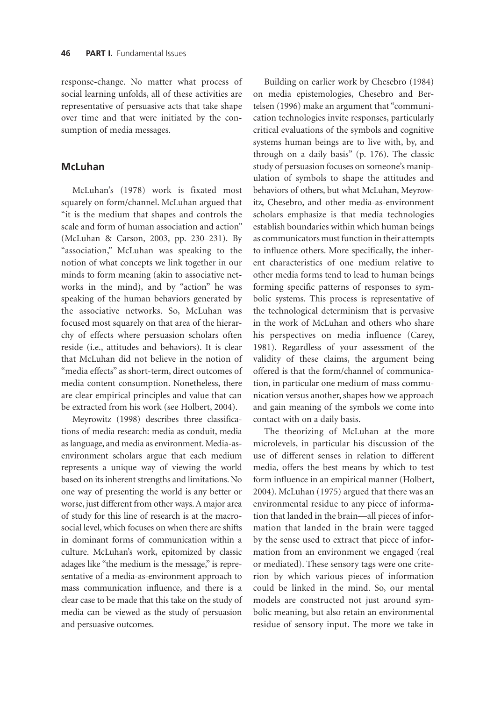response-change. No matter what process of social learning unfolds, all of these activities are representative of persuasive acts that take shape over time and that were initiated by the consumption of media messages.

#### **McLuhan**

McLuhan's (1978) work is fixated most squarely on form/channel. McLuhan argued that "it is the medium that shapes and controls the scale and form of human association and action" (McLuhan & Carson, 2003, pp. 230–231). By "association," McLuhan was speaking to the notion of what concepts we link together in our minds to form meaning (akin to associative networks in the mind), and by "action" he was speaking of the human behaviors generated by the associative networks. So, McLuhan was focused most squarely on that area of the hierarchy of effects where persuasion scholars often reside (i.e., attitudes and behaviors). It is clear that McLuhan did not believe in the notion of "media effects" as short-term, direct outcomes of media content consumption. Nonetheless, there are clear empirical principles and value that can be extracted from his work (see Holbert, 2004).

Meyrowitz (1998) describes three classifications of media research: media as conduit, media as language, and media as environment. Media-asenvironment scholars argue that each medium represents a unique way of viewing the world based on its inherent strengths and limitations. No one way of presenting the world is any better or worse, just different from other ways. A major area of study for this line of research is at the macrosocial level, which focuses on when there are shifts in dominant forms of communication within a culture. McLuhan's work, epitomized by classic adages like "the medium is the message," is representative of a media-as-environment approach to mass communication influence, and there is a clear case to be made that this take on the study of media can be viewed as the study of persuasion and persuasive outcomes.

Building on earlier work by Chesebro (1984) on media epistemologies, Chesebro and Bertelsen (1996) make an argument that "communication technologies invite responses, particularly critical evaluations of the symbols and cognitive systems human beings are to live with, by, and through on a daily basis" (p. 176). The classic study of persuasion focuses on someone's manipulation of symbols to shape the attitudes and behaviors of others, but what McLuhan, Meyrowitz, Chesebro, and other media-as-environment scholars emphasize is that media technologies establish boundaries within which human beings as communicators must function in their attempts to influence others. More specifically, the inherent characteristics of one medium relative to other media forms tend to lead to human beings forming specific patterns of responses to symbolic systems. This process is representative of the technological determinism that is pervasive in the work of McLuhan and others who share his perspectives on media influence (Carey, 1981). Regardless of your assessment of the validity of these claims, the argument being offered is that the form/channel of communication, in particular one medium of mass communication versus another, shapes how we approach and gain meaning of the symbols we come into contact with on a daily basis.

The theorizing of McLuhan at the more microlevels, in particular his discussion of the use of different senses in relation to different media, offers the best means by which to test form influence in an empirical manner (Holbert, 2004). McLuhan (1975) argued that there was an environmental residue to any piece of information that landed in the brain—all pieces of information that landed in the brain were tagged by the sense used to extract that piece of information from an environment we engaged (real or mediated). These sensory tags were one criterion by which various pieces of information could be linked in the mind. So, our mental models are constructed not just around symbolic meaning, but also retain an environmental residue of sensory input. The more we take in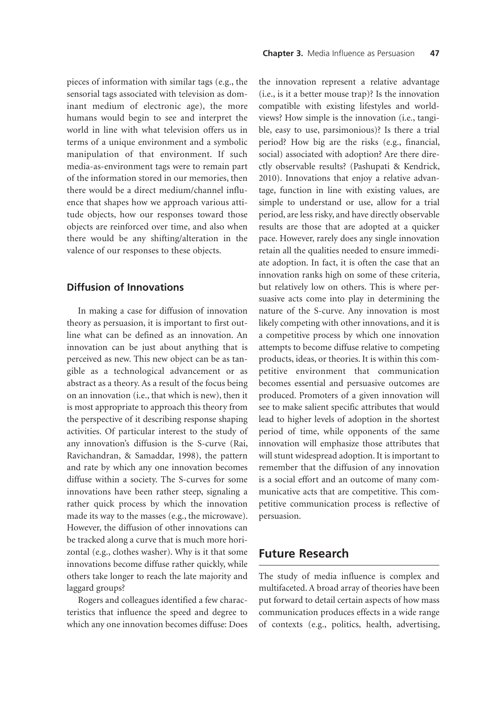pieces of information with similar tags (e.g., the sensorial tags associated with television as dominant medium of electronic age), the more humans would begin to see and interpret the world in line with what television offers us in terms of a unique environment and a symbolic manipulation of that environment. If such media-as-environment tags were to remain part of the information stored in our memories, then there would be a direct medium/channel influence that shapes how we approach various attitude objects, how our responses toward those objects are reinforced over time, and also when

there would be any shifting/alteration in the valence of our responses to these objects.

**Diffusion of Innovations** In making a case for diffusion of innovation

theory as persuasion, it is important to first outline what can be defined as an innovation. An innovation can be just about anything that is perceived as new. This new object can be as tangible as a technological advancement or as abstract as a theory. As a result of the focus being on an innovation (i.e., that which is new), then it is most appropriate to approach this theory from the perspective of it describing response shaping activities. Of particular interest to the study of any innovation's diffusion is the S-curve (Rai, Ravichandran, & Samaddar, 1998), the pattern and rate by which any one innovation becomes diffuse within a society. The S-curves for some innovations have been rather steep, signaling a rather quick process by which the innovation made its way to the masses (e.g., the microwave). However, the diffusion of other innovations can be tracked along a curve that is much more horizontal (e.g., clothes washer). Why is it that some innovations become diffuse rather quickly, while others take longer to reach the late majority and laggard groups?

Rogers and colleagues identified a few characteristics that influence the speed and degree to which any one innovation becomes diffuse: Does the innovation represent a relative advantage (i.e., is it a better mouse trap)? Is the innovation compatible with existing lifestyles and worldviews? How simple is the innovation (i.e., tangible, easy to use, parsimonious)? Is there a trial period? How big are the risks (e.g., financial, social) associated with adoption? Are there directly observable results? (Pashupati & Kendrick, 2010). Innovations that enjoy a relative advantage, function in line with existing values, are simple to understand or use, allow for a trial period, are less risky, and have directly observable results are those that are adopted at a quicker pace. However, rarely does any single innovation retain all the qualities needed to ensure immediate adoption. In fact, it is often the case that an innovation ranks high on some of these criteria, but relatively low on others. This is where persuasive acts come into play in determining the nature of the S-curve. Any innovation is most likely competing with other innovations, and it is a competitive process by which one innovation attempts to become diffuse relative to competing products, ideas, or theories. It is within this competitive environment that communication becomes essential and persuasive outcomes are produced. Promoters of a given innovation will see to make salient specific attributes that would lead to higher levels of adoption in the shortest period of time, while opponents of the same innovation will emphasize those attributes that will stunt widespread adoption. It is important to remember that the diffusion of any innovation is a social effort and an outcome of many communicative acts that are competitive. This competitive communication process is reflective of persuasion.

## **Future Research**

The study of media influence is complex and multifaceted. A broad array of theories have been put forward to detail certain aspects of how mass communication produces effects in a wide range of contexts (e.g., politics, health, advertising,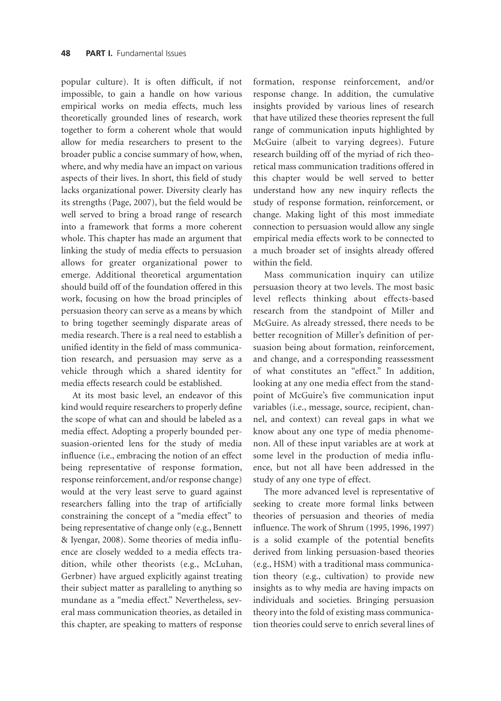popular culture). It is often difficult, if not impossible, to gain a handle on how various empirical works on media effects, much less theoretically grounded lines of research, work together to form a coherent whole that would allow for media researchers to present to the broader public a concise summary of how, when, where, and why media have an impact on various aspects of their lives. In short, this field of study lacks organizational power. Diversity clearly has its strengths (Page, 2007), but the field would be well served to bring a broad range of research into a framework that forms a more coherent whole. This chapter has made an argument that linking the study of media effects to persuasion allows for greater organizational power to emerge. Additional theoretical argumentation should build off of the foundation offered in this work, focusing on how the broad principles of persuasion theory can serve as a means by which to bring together seemingly disparate areas of media research. There is a real need to establish a unified identity in the field of mass communication research, and persuasion may serve as a vehicle through which a shared identity for media effects research could be established.

At its most basic level, an endeavor of this kind would require researchers to properly define the scope of what can and should be labeled as a media effect. Adopting a properly bounded persuasion-oriented lens for the study of media influence (i.e., embracing the notion of an effect being representative of response formation, response reinforcement, and/or response change) would at the very least serve to guard against researchers falling into the trap of artificially constraining the concept of a "media effect" to being representative of change only (e.g., Bennett & Iyengar, 2008). Some theories of media influence are closely wedded to a media effects tradition, while other theorists (e.g., McLuhan, Gerbner) have argued explicitly against treating their subject matter as paralleling to anything so mundane as a "media effect." Nevertheless, several mass communication theories, as detailed in this chapter, are speaking to matters of response

formation, response reinforcement, and/or response change. In addition, the cumulative insights provided by various lines of research that have utilized these theories represent the full range of communication inputs highlighted by McGuire (albeit to varying degrees). Future research building off of the myriad of rich theoretical mass communication traditions offered in this chapter would be well served to better understand how any new inquiry reflects the study of response formation, reinforcement, or change. Making light of this most immediate connection to persuasion would allow any single empirical media effects work to be connected to a much broader set of insights already offered within the field.

Mass communication inquiry can utilize persuasion theory at two levels. The most basic level reflects thinking about effects-based research from the standpoint of Miller and McGuire. As already stressed, there needs to be better recognition of Miller's definition of persuasion being about formation, reinforcement, and change, and a corresponding reassessment of what constitutes an "effect." In addition, looking at any one media effect from the standpoint of McGuire's five communication input variables (i.e., message, source, recipient, channel, and context) can reveal gaps in what we know about any one type of media phenomenon. All of these input variables are at work at some level in the production of media influence, but not all have been addressed in the study of any one type of effect.

The more advanced level is representative of seeking to create more formal links between theories of persuasion and theories of media influence. The work of Shrum (1995, 1996, 1997) is a solid example of the potential benefits derived from linking persuasion-based theories (e.g., HSM) with a traditional mass communication theory (e.g., cultivation) to provide new insights as to why media are having impacts on individuals and societies. Bringing persuasion theory into the fold of existing mass communication theories could serve to enrich several lines of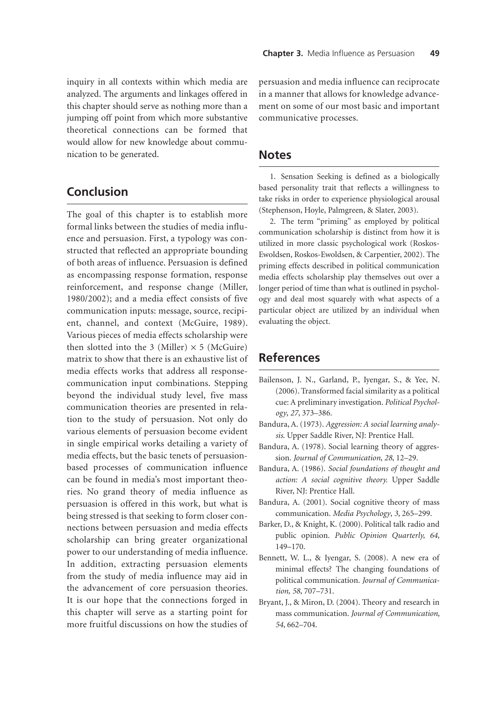inquiry in all contexts within which media are analyzed. The arguments and linkages offered in this chapter should serve as nothing more than a jumping off point from which more substantive theoretical connections can be formed that would allow for new knowledge about communication to be generated.

## **Conclusion**

The goal of this chapter is to establish more formal links between the studies of media influence and persuasion. First, a typology was constructed that reflected an appropriate bounding of both areas of influence. Persuasion is defined as encompassing response formation, response reinforcement, and response change (Miller, 1980/2002); and a media effect consists of five communication inputs: message, source, recipient, channel, and context (McGuire, 1989). Various pieces of media effects scholarship were then slotted into the 3 (Miller)  $\times$  5 (McGuire) matrix to show that there is an exhaustive list of media effects works that address all responsecommunication input combinations. Stepping beyond the individual study level, five mass communication theories are presented in relation to the study of persuasion. Not only do various elements of persuasion become evident in single empirical works detailing a variety of media effects, but the basic tenets of persuasionbased processes of communication influence can be found in media's most important theories. No grand theory of media influence as persuasion is offered in this work, but what is being stressed is that seeking to form closer connections between persuasion and media effects scholarship can bring greater organizational power to our understanding of media influence. In addition, extracting persuasion elements from the study of media influence may aid in the advancement of core persuasion theories. It is our hope that the connections forged in this chapter will serve as a starting point for more fruitful discussions on how the studies of

persuasion and media influence can reciprocate in a manner that allows for knowledge advancement on some of our most basic and important communicative processes.

#### **Notes**

1. Sensation Seeking is defined as a biologically based personality trait that reflects a willingness to take risks in order to experience physiological arousal (Stephenson, Hoyle, Palmgreen, & Slater, 2003).

2. The term "priming" as employed by political communication scholarship is distinct from how it is utilized in more classic psychological work (Roskos-Ewoldsen, Roskos-Ewoldsen, & Carpentier, 2002). The priming effects described in political communication media effects scholarship play themselves out over a longer period of time than what is outlined in psychology and deal most squarely with what aspects of a particular object are utilized by an individual when evaluating the object.

#### **References**

- Bailenson, J. N., Garland, P., Iyengar, S., & Yee, N. (2006). Transformed facial similarity as a political cue: A preliminary investigation. *Political Psychology*, *27*, 373–386.
- Bandura, A. (1973). *Aggression: A social learning analysis*. Upper Saddle River, NJ: Prentice Hall.
- Bandura, A. (1978). Social learning theory of aggression. *Journal of Communication*, *28*, 12–29.
- Bandura, A. (1986). *Social foundations of thought and action: A social cognitive theory.* Upper Saddle River, NJ: Prentice Hall.
- Bandura, A. (2001). Social cognitive theory of mass communication. *Media Psychology*, *3*, 265–299.
- Barker, D., & Knight, K. (2000). Political talk radio and public opinion. *Public Opinion Quarterly, 64,*  149–170.
- Bennett, W. L., & Iyengar, S. (2008). A new era of minimal effects? The changing foundations of political communication. *Journal of Communication, 58*, 707–731.
- Bryant, J., & Miron, D. (2004). Theory and research in mass communication. *Journal of Communication*, *54*, 662–704.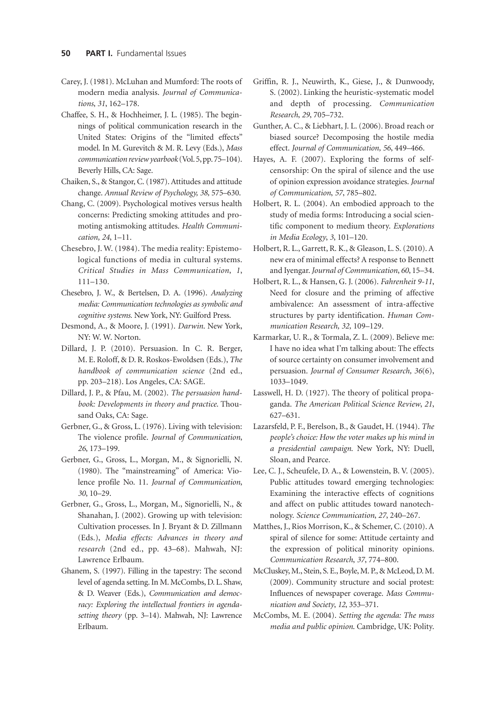- Carey, J. (1981). McLuhan and Mumford: The roots of modern media analysis. *Journal of Communications*, *31*, 162–178.
- Chaffee, S. H., & Hochheimer, J. L. (1985). The beginnings of political communication research in the United States: Origins of the "limited effects" model. In M. Gurevitch & M. R. Levy (Eds.), *Mass communication review yearbook* (Vol. 5, pp. 75–104). Beverly Hills, CA: Sage.
- Chaiken, S., & Stangor, C. (1987). Attitudes and attitude change. *Annual Review of Psychology, 38,* 575–630.
- Chang, C. (2009). Psychological motives versus health concerns: Predicting smoking attitudes and promoting antismoking attitudes. *Health Communication, 24*, 1–11.
- Chesebro, J. W. (1984). The media reality: Epistemological functions of media in cultural systems. *Critical Studies in Mass Communication*, *1*, 111–130.
- Chesebro, J. W., & Bertelsen, D. A. (1996). *Analyzing media: Communication technologies as symbolic and cognitive systems.* New York, NY: Guilford Press.
- Desmond, A., & Moore, J. (1991). *Darwin*. New York, NY: W. W. Norton.
- Dillard, J. P. (2010). Persuasion. In C. R. Berger, M. E. Roloff, & D. R. Roskos-Ewoldsen (Eds.), *The handbook of communication science* (2nd ed., pp. 203–218). Los Angeles, CA: SAGE.
- Dillard, J. P., & Pfau, M. (2002). *The persuasion handbook: Developments in theory and practice*. Thousand Oaks, CA: Sage.
- Gerbner, G., & Gross, L. (1976). Living with television: The violence profile. *Journal of Communication*, *26*, 173–199.
- Gerbner, G., Gross, L., Morgan, M., & Signorielli, N. (1980). The "mainstreaming" of America: Violence profile No. 11. *Journal of Communication*, *30*, 10–29.
- Gerbner, G., Gross, L., Morgan, M., Signorielli, N., & Shanahan, J. (2002). Growing up with television: Cultivation processes. In J. Bryant & D. Zillmann (Eds.), *Media effects: Advances in theory and research* (2nd ed., pp. 43–68). Mahwah, NJ: Lawrence Erlbaum.
- Ghanem, S. (1997). Filling in the tapestry: The second level of agenda setting. In M. McCombs, D. L. Shaw, & D. Weaver (Eds.), *Communication and democracy: Exploring the intellectual frontiers in agendasetting theory* (pp. 3–14). Mahwah, NJ: Lawrence Erlbaum.
- Griffin, R. J., Neuwirth, K., Giese, J., & Dunwoody, S. (2002). Linking the heuristic-systematic model and depth of processing. *Communication Research*, *29*, 705–732.
- Gunther, A. C., & Liebhart, J. L. (2006). Broad reach or biased source? Decomposing the hostile media effect. *Journal of Communication, 56*, 449–466.
- Hayes, A. F. (2007). Exploring the forms of selfcensorship: On the spiral of silence and the use of opinion expression avoidance strategies. *Journal of Communication*, *57*, 785–802.
- Holbert, R. L. (2004). An embodied approach to the study of media forms: Introducing a social scientific component to medium theory. *Explorations in Media Ecology*, *3*, 101–120.
- Holbert, R. L., Garrett, R. K., & Gleason, L. S. (2010). A new era of minimal effects? A response to Bennett and Iyengar. *Journal of Communication*, *60*, 15–34.
- Holbert, R. L., & Hansen, G. J. (2006). *Fahrenheit 9-11*, Need for closure and the priming of affective ambivalence: An assessment of intra-affective structures by party identification. *Human Communication Research, 32,* 109–129.
- Karmarkar, U. R., & Tormala, Z. L. (2009). Believe me: I have no idea what I'm talking about: The effects of source certainty on consumer involvement and persuasion. *Journal of Consumer Research, 36*(6), 1033–1049.
- Lasswell, H. D. (1927). The theory of political propaganda. *The American Political Science Review*, *21*, 627–631.
- Lazarsfeld, P. F., Berelson, B., & Gaudet, H. (1944). *The people's choice: How the voter makes up his mind in a presidential campaign*. New York, NY: Duell, Sloan, and Pearce.
- Lee, C. J., Scheufele, D. A., & Lowenstein, B. V. (2005). Public attitudes toward emerging technologies: Examining the interactive effects of cognitions and affect on public attitudes toward nanotechnology. *Science Communication*, *27*, 240–267.
- Matthes, J., Rios Morrison, K., & Schemer, C. (2010). A spiral of silence for some: Attitude certainty and the expression of political minority opinions. *Communication Research*, *37*, 774–800.
- McCluskey, M., Stein, S. E., Boyle, M. P., & McLeod, D. M. (2009). Community structure and social protest: Influences of newspaper coverage. *Mass Communication and Society*, *12*, 353–371.
- McCombs, M. E. (2004). *Setting the agenda: The mass media and public opinion*. Cambridge, UK: Polity.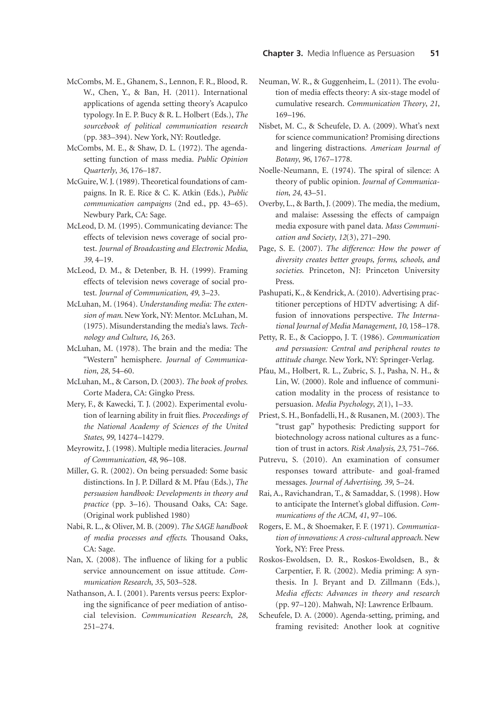- McCombs, M. E., & Shaw, D. L. (1972). The agendasetting function of mass media. *Public Opinion Quarterly*, *36*, 176–187.
- McGuire, W. J. (1989). Theoretical foundations of campaigns. In R. E. Rice & C. K. Atkin (Eds.), *Public communication campaigns* (2nd ed., pp. 43–65). Newbury Park, CA: Sage.
- McLeod, D. M. (1995). Communicating deviance: The effects of television news coverage of social protest. *Journal of Broadcasting and Electronic Media*, *39*, 4–19.
- McLeod, D. M., & Detenber, B. H. (1999). Framing effects of television news coverage of social protest. *Journal of Communication*, *49*, 3–23.
- McLuhan, M. (1964). *Understanding media: The extension of man*. New York, NY: Mentor. McLuhan, M. (1975). Misunderstanding the media's laws. *Technology and Culture*, *16*, 263.
- McLuhan, M. (1978). The brain and the media: The "Western" hemisphere. *Journal of Communication*, *28*, 54–60.
- McLuhan, M., & Carson, D. (2003). *The book of probes*. Corte Madera, CA: Gingko Press.
- Mery, F., & Kawecki, T. J. (2002). Experimental evolution of learning ability in fruit flies. *Proceedings of the National Academy of Sciences of the United States*, *99*, 14274–14279.
- Meyrowitz, J. (1998). Multiple media literacies. *Journal of Communication*, *48*, 96–108.
- Miller, G. R. (2002). On being persuaded: Some basic distinctions. In J. P. Dillard & M. Pfau (Eds.), *The persuasion handbook: Developments in theory and practice* (pp. 3–16). Thousand Oaks, CA: Sage. (Original work published 1980)
- Nabi, R. L., & Oliver, M. B. (2009). *The SAGE handbook of media processes and effects*. Thousand Oaks, CA: Sage.
- Nan, X. (2008). The influence of liking for a public service announcement on issue attitude. *Communication Research*, *35*, 503–528.
- Nathanson, A. I. (2001). Parents versus peers: Exploring the significance of peer mediation of antisocial television. *Communication Research*, *28*, 251–274.
- Neuman, W. R., & Guggenheim, L. (2011). The evolution of media effects theory: A six-stage model of cumulative research. *Communication Theory*, *21*, 169–196.
- Nisbet, M. C., & Scheufele, D. A. (2009). What's next for science communication? Promising directions and lingering distractions. *American Journal of Botany*, *96*, 1767–1778.
- Noelle-Neumann, E. (1974). The spiral of silence: A theory of public opinion. *Journal of Communication*, *24*, 43–51.
- Overby, L., & Barth, J. (2009). The media, the medium, and malaise: Assessing the effects of campaign media exposure with panel data. *Mass Communication and Society*, *12*(3), 271–290.
- Page, S. E. (2007). *The difference: How the power of diversity creates better groups, forms, schools, and societies*. Princeton, NJ: Princeton University Press.
- Pashupati, K., & Kendrick, A. (2010). Advertising practitioner perceptions of HDTV advertising: A diffusion of innovations perspective. *The International Journal of Media Management*, *10*, 158–178.
- Petty, R. E., & Cacioppo, J. T. (1986). *Communication and persuasion: Central and peripheral routes to attitude change*. New York, NY: Springer-Verlag.
- Pfau, M., Holbert, R. L., Zubric, S. J., Pasha, N. H., & Lin, W. (2000). Role and influence of communication modality in the process of resistance to persuasion. *Media Psychology*, *2*(1), 1–33.
- Priest, S. H., Bonfadelli, H., & Rusanen, M. (2003). The "trust gap" hypothesis: Predicting support for biotechnology across national cultures as a function of trust in actors. *Risk Analysis*, *23*, 751–766.
- Putrevu, S. (2010). An examination of consumer responses toward attribute- and goal-framed messages. *Journal of Advertising, 39*, 5–24.
- Rai, A., Ravichandran, T., & Samaddar, S. (1998). How to anticipate the Internet's global diffusion. *Communications of the ACM*, *41*, 97–106.
- Rogers, E. M., & Shoemaker, F. F. (1971). *Communication of innovations: A cross-cultural approach*. New York, NY: Free Press.
- Roskos-Ewoldsen, D. R., Roskos-Ewoldsen, B., & Carpentier, F. R. (2002). Media priming: A synthesis. In J. Bryant and D. Zillmann (Eds.), *Media effects: Advances in theory and research* (pp. 97–120). Mahwah, NJ: Lawrence Erlbaum.
- Scheufele, D. A. (2000). Agenda-setting, priming, and framing revisited: Another look at cognitive